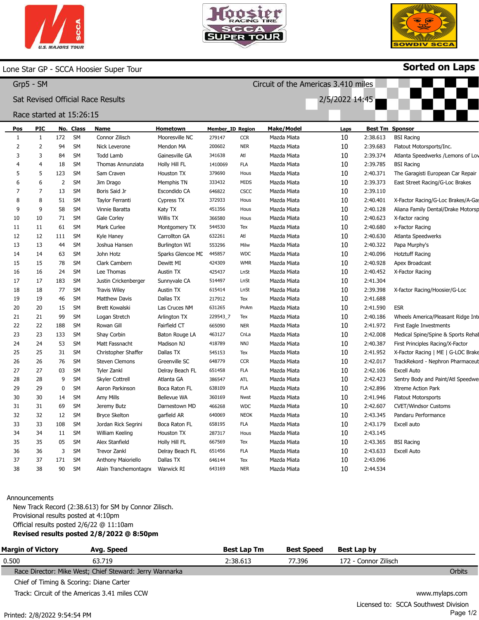



Circuit of the Americas 3.410 miles

2/5/2022 14:45



Sorted on Laps

## Lone Star GP - SCCA Hoosier Super Tour

| Grp5 | SM |
|------|----|
|------|----|

## Sat Revised Official Race Results

### Race started at 15:26:15

| Pos | <b>PIC</b>     |     | No. Class | Name                      | Hometown             | Member_ID Region |             | <b>Make/Model</b> | Laps |          | <b>Best Tm Sponsor</b>             |
|-----|----------------|-----|-----------|---------------------------|----------------------|------------------|-------------|-------------------|------|----------|------------------------------------|
| 1   | 1              | 172 | SM        | Connor Zilisch            | Mooresville NC       | 279147           | <b>CCR</b>  | Mazda Miata       | 10   | 2:38.613 | <b>BSI Racing</b>                  |
| 2   | 2              | 94  | <b>SM</b> | Nick Leverone             | Mendon MA            | 200602           | <b>NER</b>  | Mazda Miata       | 10   | 2:39.683 | Flatout Motorsports/Inc.           |
| 3   | 3              | 84  | <b>SM</b> | <b>Todd Lamb</b>          | Gainesville GA       | 341638           | Atl         | Mazda Miata       | 10   | 2:39.374 | Atlanta Speedwerks / Lemons of Lov |
|     | $\overline{4}$ | 18  | <b>SM</b> | Thomas Annunziata         | Holly Hill FL        | 1410069          | <b>FLA</b>  | Mazda Miata       | 10   | 2:39.785 | <b>BSI Racing</b>                  |
| 5   | 5              | 123 | <b>SM</b> | Sam Craven                | Houston TX           | 379690           | Hous        | Mazda Miata       | 10   | 2:40.371 | The Garagisti European Car Repair  |
| 6   | 6              | 2   | <b>SM</b> | Jim Drago                 | Memphis TN           | 333432           | MIDS        | Mazda Miata       | 10   | 2:39.373 | East Street Racing/G-Loc Brakes    |
| 7   | 7              | 13  | <b>SM</b> | Boris Said Jr             | Escondido CA         | 646822           | CSCC        | Mazda Miata       | 10   | 2:39.110 |                                    |
| 8   | 8              | 51  | <b>SM</b> | Taylor Ferranti           | Cypress TX           | 372933           | Hous        | Mazda Miata       | 10   | 2:40.401 | X-Factor Racing/G-Loc Brakes/A-Gas |
| 9   | 9              | 58  | <b>SM</b> | Vinnie Baratta            | Katy TX              | 451356           | Hous        | Mazda Miata       | 10   | 2:40.128 | Aliana Family Dental/Drake Motorsp |
| 10  | 10             | 71  | <b>SM</b> | Gale Corley               | <b>Willis TX</b>     | 366580           | Hous        | Mazda Miata       | 10   | 2:40.623 | X-factor racing                    |
| 11  | 11             | 61  | <b>SM</b> | Mark Curlee               | Montgomery TX        | 544530           | Tex         | Mazda Miata       | 10   | 2:40.680 | x-Factor Racing                    |
| 12  | 12             | 111 | <b>SM</b> | Kyle Haney                | Carrollton GA        | 632261           | Atl         | Mazda Miata       | 10   | 2:40.630 | Atlanta Speedwerks                 |
| 13  | 13             | 44  | <b>SM</b> | Joshua Hansen             | <b>Burlington WI</b> | 553296           | Milw        | Mazda Miata       | 10   | 2:40.322 | Papa Murphy's                      |
| 14  | 14             | 63  | <b>SM</b> | John Hotz                 | Sparks Glencoe MD    | 445857           | <b>WDC</b>  | Mazda Miata       | 10   | 2:40.096 | <b>Hotztuff Racing</b>             |
| 15  | 15             | 78  | <b>SM</b> | Clark Cambern             | Dewitt MI            | 424309           | <b>WMR</b>  | Mazda Miata       | 10   | 2:40.928 | Apex Broadcast                     |
| 16  | 16             | 24  | <b>SM</b> | Lee Thomas                | Austin TX            | 425437           | LnSt        | Mazda Miata       | 10   | 2:40.452 | X-Factor Racing                    |
| 17  | 17             | 183 | SM        | Justin Crickenberger      | Sunnyvale CA         | 514497           | LnSt        | Mazda Miata       | 10   | 2:41.304 |                                    |
| 18  | 18             | 77  | <b>SM</b> | <b>Travis Wiley</b>       | Austin TX            | 615414           | LnSt        | Mazda Miata       | 10   | 2:39.398 | X-factor Racing/Hoosier/G-Loc      |
| 19  | 19             | 46  | <b>SM</b> | <b>Matthew Davis</b>      | Dallas TX            | 217912           | Tex         | Mazda Miata       | 10   | 2:41.688 |                                    |
| 20  | 20             | 15  | <b>SM</b> | Brett Kowalski            | Las Cruces NM        | 631265           | PnAm        | Mazda Miata       | 10   | 2:41.590 | <b>ESR</b>                         |
| 21  | 21             | 99  | <b>SM</b> | Logan Stretch             | Arlington TX         | 229543_7         | Tex         | Mazda Miata       | 10   | 2:40.186 | Wheels America/Pleasant Ridge Inte |
| 22  | 22             | 188 | <b>SM</b> | Rowan Gill                | Fairfield CT         | 665090           | <b>NER</b>  | Mazda Miata       | 10   | 2:41.972 | First Eagle Investments            |
| 23  | 23             | 133 | <b>SM</b> | Shay Corbin               | Baton Rouge LA       | 463127           | CnLa        | Mazda Miata       | 10   | 2:42.008 | Medical Spine/Spine & Sports Rehal |
| 24  | 24             | 53  | <b>SM</b> | Matt Fassnacht            | Madison NJ           | 418789           | NNJ         | Mazda Miata       | 10   | 2:40.387 | First Principles Racing/X-Factor   |
| 25  | 25             | 31  | <b>SM</b> | Christopher Shaffer       | Dallas TX            | 545153           | Tex         | Mazda Miata       | 10   | 2:41.952 | X-Factor Racing   ME   G-LOC Brake |
| 26  | 26             | 76  | <b>SM</b> | <b>Steven Clemons</b>     | Greenville SC        | 648779           | <b>CCR</b>  | Mazda Miata       | 10   | 2:42.017 | TrackRekord - Nephron Pharmaceut   |
| 27  | 27             | 03  | <b>SM</b> | Tyler Zankl               | Delray Beach FL      | 651458           | <b>FLA</b>  | Mazda Miata       | 10   | 2:42.106 | <b>Excell Auto</b>                 |
| 28  | 28             | 9   | <b>SM</b> | <b>Skyler Cottrell</b>    | Atlanta GA           | 386547           | <b>ATL</b>  | Mazda Miata       | 10   | 2:42.423 | Sentry Body and Paint/Atl Speedwe  |
| 29  | 29             | 0   | <b>SM</b> | Aaron Parkinson           | Boca Raton FL        | 638109           | <b>FLA</b>  | Mazda Miata       | 10   | 2:42.896 | Xtreme Action Park                 |
| 30  | 30             | 14  | <b>SM</b> | Amy Mills                 | <b>Bellevue WA</b>   | 360169           | Nwst        | Mazda Miata       | 10   | 2:41.946 | <b>Flatout Motorsports</b>         |
| 31  | 31             | 69  | <b>SM</b> | Jeremy Butz               | Darnestown MD        | 466268           | <b>WDC</b>  | Mazda Miata       | 10   | 2:42.607 | <b>CVET/Windsor Customs</b>        |
| 32  | 32             | 12  | <b>SM</b> | <b>Bryce Skelton</b>      | garfield AR          | 640069           | <b>NEOK</b> | Mazda Miata       | 10   | 2:43.345 | Pandaru Performance                |
| 33  | 33             | 108 | <b>SM</b> | Jordan Rick Segrini       | Boca Raton FL        | 658195           | <b>FLA</b>  | Mazda Miata       | 10   | 2:43.179 | Excell auto                        |
| 34  | 34             | 11  | <b>SM</b> | William Keeling           | Houston TX           | 287317           | Hous        | Mazda Miata       | 10   | 2:43.145 |                                    |
| 35  | 35             | 05  | <b>SM</b> | Alex Stanfield            | Holly Hill FL        | 667569           | Tex         | Mazda Miata       | 10   | 2:43.365 | <b>BSI Racing</b>                  |
| 36  | 36             | 3   | <b>SM</b> | <b>Trevor Zankl</b>       | Delray Beach FL      | 651456           | <b>FLA</b>  | Mazda Miata       | 10   | 2:43.633 | <b>Excell Auto</b>                 |
| 37  | 37             | 171 | <b>SM</b> | <b>Anthony Maioriello</b> | Dallas TX            | 646144           | Tex         | Mazda Miata       | 10   | 2:43.096 |                                    |
| 38  | 38             | 90  | <b>SM</b> | Alain Tranchemontagne     | Warwick RI           | 643169           | <b>NER</b>  | Mazda Miata       | 10   | 2:44.534 |                                    |

#### Announcements

New Track Record (2:38.613) for SM by Connor Zilisch. Provisional results posted at 4:10pm Official results posted 2/6/22 @ 11:10am Revised results posted 2/8/2022 @ 8:50pm

| <b>Margin of Victory</b> | Avg. Speed                                              | <b>Best Lap Tm</b> | <b>Best Speed</b> | Best Lap by          |                |
|--------------------------|---------------------------------------------------------|--------------------|-------------------|----------------------|----------------|
| 0.500                    | 63.719                                                  | 2:38.613           | 77.396            | 172 - Connor Zilisch |                |
|                          | Race Director: Mike West; Chief Steward: Jerry Wannarka |                    |                   |                      | Orbits         |
|                          | Chief of Timing & Scoring: Diane Carter                 |                    |                   |                      |                |
|                          | Track: Circuit of the Americas 3.41 miles CCW           |                    |                   |                      | www.mylaps.com |
|                          |                                                         |                    |                   | . .<br>. .           |                |